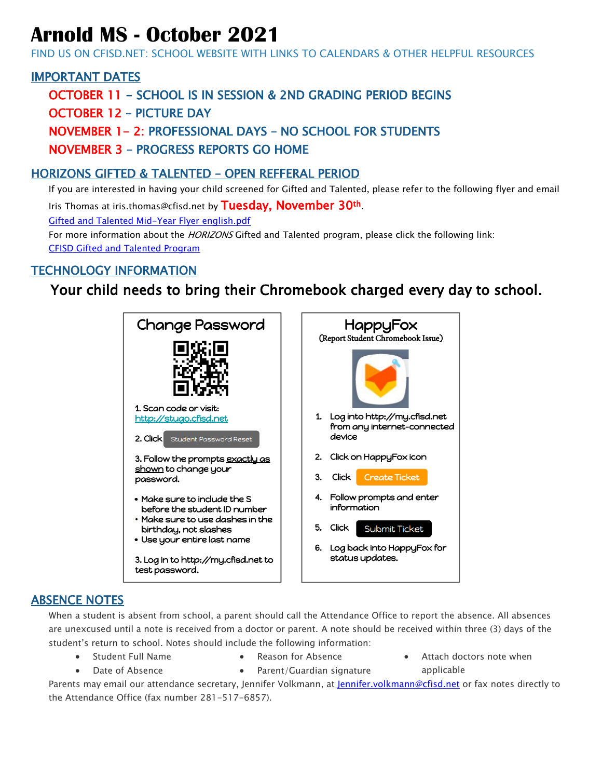# **Arnold MS - October 2021**

FIND US ON CFISD.NET: SCHOOL WEBSITE WITH LINKS TO CALENDARS & OTHER HELPFUL RESOURCES

# IMPORTANT DATES

OCTOBER 11 - SCHOOL IS IN SESSION & 2ND GRADING PERIOD BEGINS

OCTOBER 12 – PICTURE DAY

NOVEMBER 1- 2: PROFESSIONAL DAYS – NO SCHOOL FOR STUDENTS

NOVEMBER 3 – PROGRESS REPORTS GO HOME

#### HORIZONS GIFTED & TALENTED – OPEN REFFERAL PERIOD

If you are interested in having your child screened for Gifted and Talented, please refer to the following flyer and email Iris Thomas at iris.thomas@cfisd.net by Tuesday, November 30th.

[Gifted and Talented Mid-Year Flyer english.pdf](file://///cftech.cfisd.loc/emp_home/E057720/ARNOLD%20MS/Arnold%202021-2022/GT/Mid-Year%20Testing/Gifted%20and%20Talented%20Mid-Year%20Flyer%20english.pdf)

For more information about the *HORIZONS* Gifted and Talented program, please click the following link: [CFISD Gifted and Talented Program](https://www.cfisd.net/domain/2373)

# TECHNOLOGY INFORMATION

# Your child needs to bring their Chromebook charged every day to school.



#### ABSENCE NOTES

When a student is absent from school, a parent should call the Attendance Office to report the absence. All absences are unexcused until a note is received from a doctor or parent. A note should be received within three (3) days of the student's return to school. Notes should include the following information:

- Student Full Name • Date of Absence
- Reason for Absence
- Attach doctors note when applicable

Parents may email our attendance secretary, Jennifer Volkmann, at [Jennifer.volkmann@cfisd.net](mailto:Jennifer.volkmann@cfisd.net) or fax notes directly to the Attendance Office (fax number 281-517-6857).

• Parent/Guardian signature